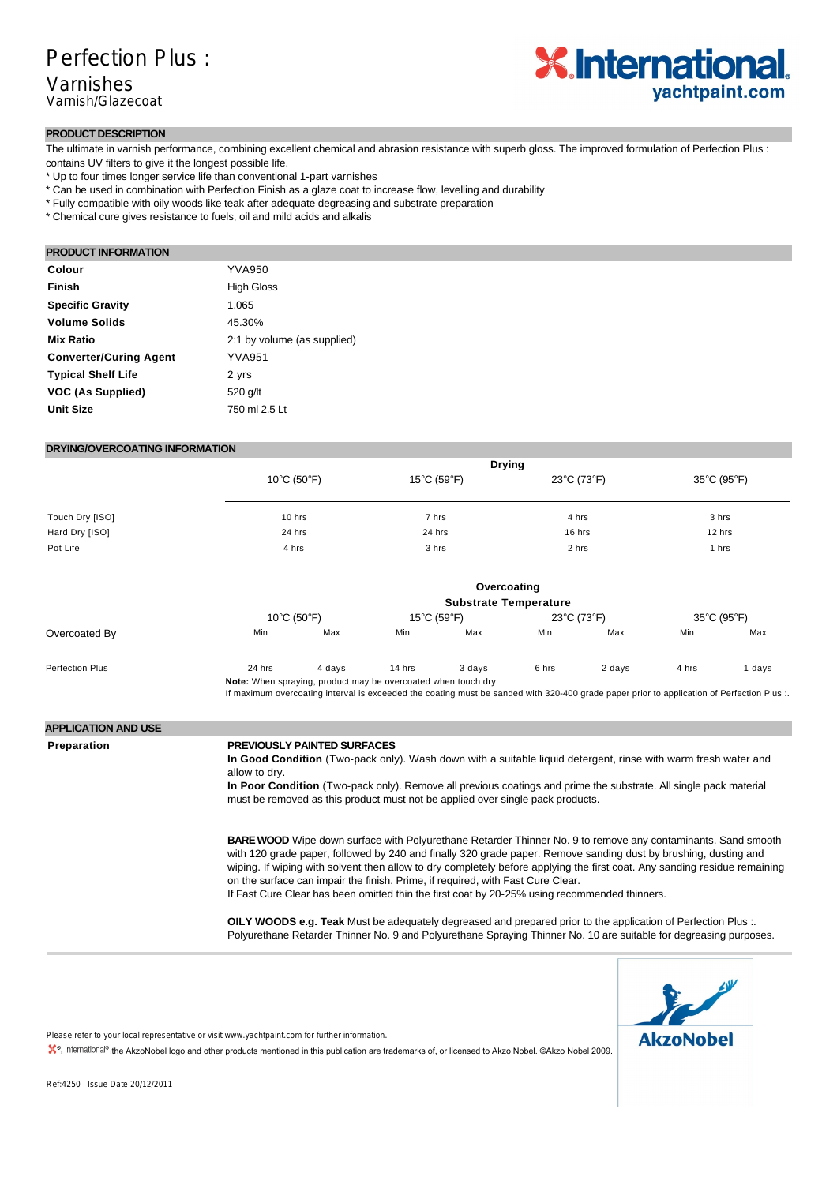

### **PRODUCT DESCRIPTION**

The ultimate in varnish performance, combining excellent chemical and abrasion resistance with superb gloss. The improved formulation of Perfection Plus : contains UV filters to give it the longest possible life.

- \* Up to four times longer service life than conventional 1-part varnishes
- \* Can be used in combination with Perfection Finish as a glaze coat to increase flow, levelling and durability
- \* Fully compatible with oily woods like teak after adequate degreasing and substrate preparation
- \* Chemical cure gives resistance to fuels, oil and mild acids and alkalis

### **PRODUCT INFORMATION**

| Colour                        | <b>YVA950</b>               |
|-------------------------------|-----------------------------|
| Finish                        | <b>High Gloss</b>           |
| <b>Specific Gravity</b>       | 1.065                       |
| <b>Volume Solids</b>          | 45.30%                      |
| <b>Mix Ratio</b>              | 2:1 by volume (as supplied) |
| <b>Converter/Curing Agent</b> | <b>YVA951</b>               |
| <b>Typical Shelf Life</b>     | 2 yrs                       |
| VOC (As Supplied)             | 520 g/lt                    |
| <b>Unit Size</b>              | 750 ml 2.5 Lt               |

### **DRYING/OVERCOATING INFORMATION**

|                                  |                  | <b>Drying</b>                                                                                                                                                                                                                                                                                                                                                                                                                                                                                                                                           |                 |                                  |                 |             |                 |             |  |  |
|----------------------------------|------------------|---------------------------------------------------------------------------------------------------------------------------------------------------------------------------------------------------------------------------------------------------------------------------------------------------------------------------------------------------------------------------------------------------------------------------------------------------------------------------------------------------------------------------------------------------------|-----------------|----------------------------------|-----------------|-------------|-----------------|-------------|--|--|
| $10^{\circ}$ C (50 $^{\circ}$ F) |                  | 15°C (59°F)                                                                                                                                                                                                                                                                                                                                                                                                                                                                                                                                             |                 | 23°C (73°F)                      |                 | 35°C (95°F) |                 |             |  |  |
| Touch Dry [ISO]                  | 10 hrs<br>24 hrs |                                                                                                                                                                                                                                                                                                                                                                                                                                                                                                                                                         | 7 hrs<br>24 hrs |                                  | 4 hrs<br>16 hrs |             | 3 hrs<br>12 hrs |             |  |  |
| Hard Dry [ISO]                   |                  |                                                                                                                                                                                                                                                                                                                                                                                                                                                                                                                                                         |                 |                                  |                 |             |                 |             |  |  |
| Pot Life                         |                  | 4 hrs                                                                                                                                                                                                                                                                                                                                                                                                                                                                                                                                                   |                 | 3 hrs                            |                 | 2 hrs       |                 | 1 hrs       |  |  |
|                                  |                  | Overcoating                                                                                                                                                                                                                                                                                                                                                                                                                                                                                                                                             |                 |                                  |                 |             |                 |             |  |  |
|                                  |                  |                                                                                                                                                                                                                                                                                                                                                                                                                                                                                                                                                         |                 | <b>Substrate Temperature</b>     |                 |             |                 |             |  |  |
|                                  |                  | $10^{\circ}$ C (50 $^{\circ}$ F)                                                                                                                                                                                                                                                                                                                                                                                                                                                                                                                        |                 | $15^{\circ}$ C (59 $^{\circ}$ F) |                 | 23°C (73°F) |                 | 35°C (95°F) |  |  |
| Overcoated By                    | Min              | Max                                                                                                                                                                                                                                                                                                                                                                                                                                                                                                                                                     | Min             | Max                              | Min             | Max         | Min             | Max         |  |  |
| <b>Perfection Plus</b>           | 24 hrs           | 4 days                                                                                                                                                                                                                                                                                                                                                                                                                                                                                                                                                  | 14 hrs          | 3 days                           | 6 hrs           | 2 days      | 4 hrs           | 1 days      |  |  |
| <b>APPLICATION AND USE</b>       |                  |                                                                                                                                                                                                                                                                                                                                                                                                                                                                                                                                                         |                 |                                  |                 |             |                 |             |  |  |
| Preparation                      | allow to dry.    | <b>PREVIOUSLY PAINTED SURFACES</b><br>In Good Condition (Two-pack only). Wash down with a suitable liquid detergent, rinse with warm fresh water and<br>In Poor Condition (Two-pack only). Remove all previous coatings and prime the substrate. All single pack material<br>must be removed as this product must not be applied over single pack products.                                                                                                                                                                                             |                 |                                  |                 |             |                 |             |  |  |
|                                  |                  | <b>BARE WOOD</b> Wipe down surface with Polyurethane Retarder Thinner No. 9 to remove any contaminants. Sand smooth<br>with 120 grade paper, followed by 240 and finally 320 grade paper. Remove sanding dust by brushing, dusting and<br>wiping. If wiping with solvent then allow to dry completely before applying the first coat. Any sanding residue remaining<br>on the surface can impair the finish. Prime, if required, with Fast Cure Clear.<br>If Fast Cure Clear has been omitted thin the first coat by 20-25% using recommended thinners. |                 |                                  |                 |             |                 |             |  |  |
|                                  |                  | OILY WOODS e.g. Teak Must be adequately degreased and prepared prior to the application of Perfection Plus :.                                                                                                                                                                                                                                                                                                                                                                                                                                           |                 |                                  |                 |             |                 |             |  |  |

Polyurethane Retarder Thinner No. 9 and Polyurethane Spraying Thinner No. 10 are suitable for degreasing purposes.



Please refer to your local representative or visit www.yachtpaint.com for further information.

**, International<sup>®</sup>, the AkzoNobel logo and other products mentioned in this publication are trademarks of, or licensed to Akzo Nobel. ©Akzo Nobel 2009.** 

Ref:4250 Issue Date:20/12/2011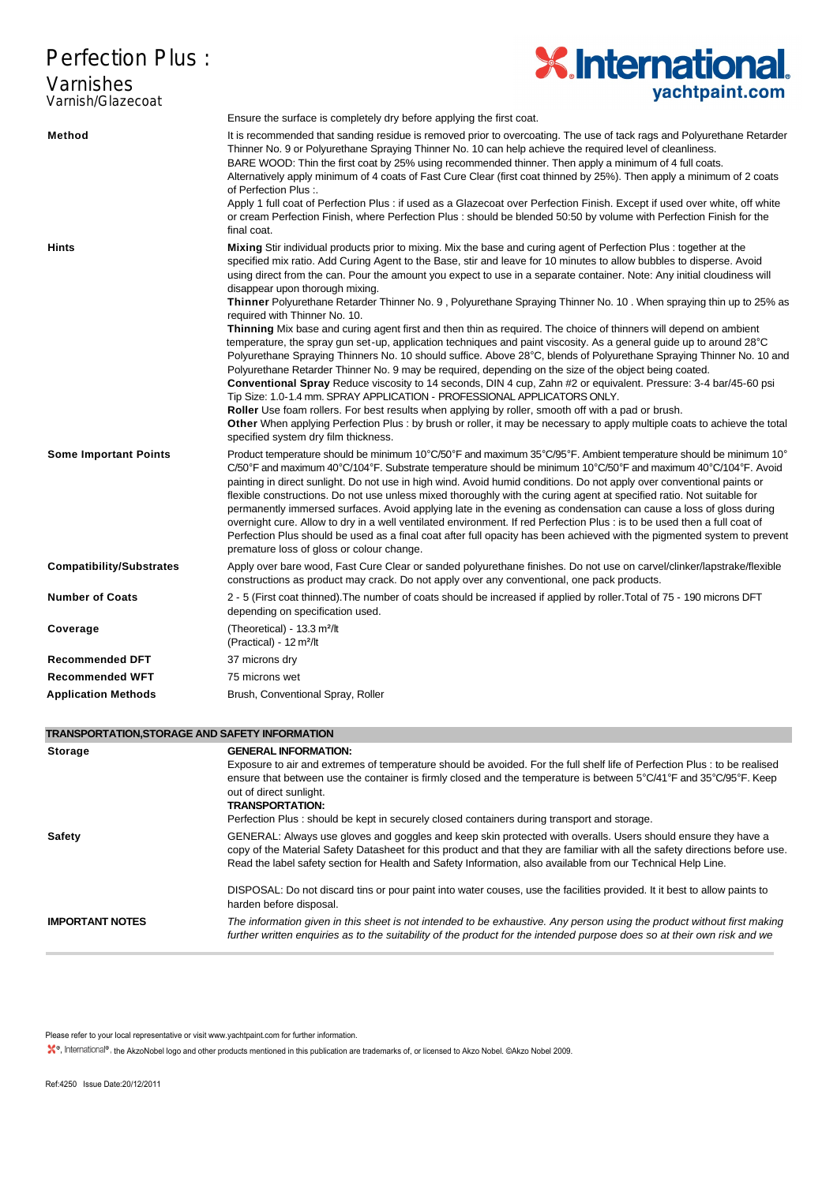# **Perfection Plus:**

## Varnishes Varnish/Glazecoat



| <b>Perfection Plus:</b>                                                                                                          | <b>X.International.</b>                                                                                                                                                                                                                                                                                                                                                                                                                                                                                                                                                                                                                                                                                                                                                                                                                                                                                                                                                                                                                                                                                                                                                                                                                                                                                                                                                                                                                                                                                                          |
|----------------------------------------------------------------------------------------------------------------------------------|----------------------------------------------------------------------------------------------------------------------------------------------------------------------------------------------------------------------------------------------------------------------------------------------------------------------------------------------------------------------------------------------------------------------------------------------------------------------------------------------------------------------------------------------------------------------------------------------------------------------------------------------------------------------------------------------------------------------------------------------------------------------------------------------------------------------------------------------------------------------------------------------------------------------------------------------------------------------------------------------------------------------------------------------------------------------------------------------------------------------------------------------------------------------------------------------------------------------------------------------------------------------------------------------------------------------------------------------------------------------------------------------------------------------------------------------------------------------------------------------------------------------------------|
| Varnishes<br>Varnish/Glazecoat                                                                                                   | yachtpaint.com                                                                                                                                                                                                                                                                                                                                                                                                                                                                                                                                                                                                                                                                                                                                                                                                                                                                                                                                                                                                                                                                                                                                                                                                                                                                                                                                                                                                                                                                                                                   |
|                                                                                                                                  | Ensure the surface is completely dry before applying the first coat.                                                                                                                                                                                                                                                                                                                                                                                                                                                                                                                                                                                                                                                                                                                                                                                                                                                                                                                                                                                                                                                                                                                                                                                                                                                                                                                                                                                                                                                             |
| Method                                                                                                                           | It is recommended that sanding residue is removed prior to overcoating. The use of tack rags and Polyurethane Retarder<br>Thinner No. 9 or Polyurethane Spraying Thinner No. 10 can help achieve the required level of cleanliness.<br>BARE WOOD: Thin the first coat by 25% using recommended thinner. Then apply a minimum of 4 full coats.<br>Alternatively apply minimum of 4 coats of Fast Cure Clear (first coat thinned by 25%). Then apply a minimum of 2 coats<br>of Perfection Plus :.<br>Apply 1 full coat of Perfection Plus : if used as a Glazecoat over Perfection Finish. Except if used over white, off white                                                                                                                                                                                                                                                                                                                                                                                                                                                                                                                                                                                                                                                                                                                                                                                                                                                                                                   |
|                                                                                                                                  | or cream Perfection Finish, where Perfection Plus: should be blended 50:50 by volume with Perfection Finish for the<br>final coat.                                                                                                                                                                                                                                                                                                                                                                                                                                                                                                                                                                                                                                                                                                                                                                                                                                                                                                                                                                                                                                                                                                                                                                                                                                                                                                                                                                                               |
| Hints                                                                                                                            | Mixing Stir individual products prior to mixing. Mix the base and curing agent of Perfection Plus: together at the<br>specified mix ratio. Add Curing Agent to the Base, stir and leave for 10 minutes to allow bubbles to disperse. Avoid<br>using direct from the can. Pour the amount you expect to use in a separate container. Note: Any initial cloudiness will<br>disappear upon thorough mixing.<br><b>Thinner</b> Polyurethane Retarder Thinner No. 9, Polyurethane Spraying Thinner No. 10. When spraying thin up to 25% as<br>required with Thinner No. 10.<br>Thinning Mix base and curing agent first and then thin as required. The choice of thinners will depend on ambient<br>temperature, the spray gun set-up, application techniques and paint viscosity. As a general guide up to around 28°C<br>Polyurethane Spraying Thinners No. 10 should suffice. Above 28°C, blends of Polyurethane Spraying Thinner No. 10 and<br>Polyurethane Retarder Thinner No. 9 may be required, depending on the size of the object being coated.<br>Conventional Spray Reduce viscosity to 14 seconds, DIN 4 cup, Zahn #2 or equivalent. Pressure: 3-4 bar/45-60 psi<br>Tip Size: 1.0-1.4 mm. SPRAY APPLICATION - PROFESSIONAL APPLICATORS ONLY.<br>Roller Use foam rollers. For best results when applying by roller, smooth off with a pad or brush.<br>Other When applying Perfection Plus : by brush or roller, it may be necessary to apply multiple coats to achieve the total<br>specified system dry film thickness. |
| <b>Some Important Points</b>                                                                                                     | Product temperature should be minimum 10°C/50°F and maximum 35°C/95°F. Ambient temperature should be minimum 10°<br>$C/50^{\circ}$ F and maximum 40°C/104°F. Substrate temperature should be minimum 10°C/50°F and maximum 40°C/104°F. Avoid<br>painting in direct sunlight. Do not use in high wind. Avoid humid conditions. Do not apply over conventional paints or<br>flexible constructions. Do not use unless mixed thoroughly with the curing agent at specified ratio. Not suitable for<br>permanently immersed surfaces. Avoid applying late in the evening as condensation can cause a loss of gloss during<br>overnight cure. Allow to dry in a well ventilated environment. If red Perfection Plus : is to be used then a full coat of<br>Perfection Plus should be used as a final coat after full opacity has been achieved with the pigmented system to prevent<br>premature loss of gloss or colour change.                                                                                                                                                                                                                                                                                                                                                                                                                                                                                                                                                                                                      |
| <b>Compatibility/Substrates</b>                                                                                                  | Apply over bare wood, Fast Cure Clear or sanded polyurethane finishes. Do not use on carvel/clinker/lapstrake/flexible<br>constructions as product may crack. Do not apply over any conventional, one pack products.                                                                                                                                                                                                                                                                                                                                                                                                                                                                                                                                                                                                                                                                                                                                                                                                                                                                                                                                                                                                                                                                                                                                                                                                                                                                                                             |
| <b>Number of Coats</b>                                                                                                           | 2 - 5 (First coat thinned). The number of coats should be increased if applied by roller. Total of 75 - 190 microns DFT<br>depending on specification used.                                                                                                                                                                                                                                                                                                                                                                                                                                                                                                                                                                                                                                                                                                                                                                                                                                                                                                                                                                                                                                                                                                                                                                                                                                                                                                                                                                      |
| Coverage                                                                                                                         | (Theoretical) - 13.3 m <sup>2</sup> /lt<br>(Practical) - 12 $m^2/lt$                                                                                                                                                                                                                                                                                                                                                                                                                                                                                                                                                                                                                                                                                                                                                                                                                                                                                                                                                                                                                                                                                                                                                                                                                                                                                                                                                                                                                                                             |
| <b>Recommended DFT</b>                                                                                                           | 37 microns dry                                                                                                                                                                                                                                                                                                                                                                                                                                                                                                                                                                                                                                                                                                                                                                                                                                                                                                                                                                                                                                                                                                                                                                                                                                                                                                                                                                                                                                                                                                                   |
| <b>Recommended WFT</b>                                                                                                           | 75 microns wet                                                                                                                                                                                                                                                                                                                                                                                                                                                                                                                                                                                                                                                                                                                                                                                                                                                                                                                                                                                                                                                                                                                                                                                                                                                                                                                                                                                                                                                                                                                   |
| <b>Application Methods</b>                                                                                                       | Brush, Conventional Spray, Roller                                                                                                                                                                                                                                                                                                                                                                                                                                                                                                                                                                                                                                                                                                                                                                                                                                                                                                                                                                                                                                                                                                                                                                                                                                                                                                                                                                                                                                                                                                |
| TRANSPORTATION,STORAGE AND SAFETY INFORMATION                                                                                    |                                                                                                                                                                                                                                                                                                                                                                                                                                                                                                                                                                                                                                                                                                                                                                                                                                                                                                                                                                                                                                                                                                                                                                                                                                                                                                                                                                                                                                                                                                                                  |
| <b>Storage</b>                                                                                                                   | <b>GENERAL INFORMATION:</b><br>Exposure to air and extremes of temperature should be avoided. For the full shelf life of Perfection Plus : to be realised<br>ensure that between use the container is firmly closed and the temperature is between 5°C/41°F and 35°C/95°F. Keep<br>out of direct sunlight.<br><b>TRANSPORTATION:</b>                                                                                                                                                                                                                                                                                                                                                                                                                                                                                                                                                                                                                                                                                                                                                                                                                                                                                                                                                                                                                                                                                                                                                                                             |
| <b>Safety</b>                                                                                                                    | Perfection Plus: should be kept in securely closed containers during transport and storage.<br>GENERAL: Always use gloves and goggles and keep skin protected with overalls. Users should ensure they have a<br>copy of the Material Safety Datasheet for this product and that they are familiar with all the safety directions before use.<br>Read the label safety section for Health and Safety Information, also available from our Technical Help Line.                                                                                                                                                                                                                                                                                                                                                                                                                                                                                                                                                                                                                                                                                                                                                                                                                                                                                                                                                                                                                                                                    |
|                                                                                                                                  | DISPOSAL: Do not discard tins or pour paint into water couses, use the facilities provided. It it best to allow paints to<br>harden before disposal.                                                                                                                                                                                                                                                                                                                                                                                                                                                                                                                                                                                                                                                                                                                                                                                                                                                                                                                                                                                                                                                                                                                                                                                                                                                                                                                                                                             |
| <b>IMPORTANT NOTES</b>                                                                                                           | The information given in this sheet is not intended to be exhaustive. Any person using the product without first making<br>further written enquiries as to the suitability of the product for the intended purpose does so at their own risk and we                                                                                                                                                                                                                                                                                                                                                                                                                                                                                                                                                                                                                                                                                                                                                                                                                                                                                                                                                                                                                                                                                                                                                                                                                                                                              |
| Please refer to your local representative or visit www.yachtpaint.com for further information.<br>Ref:4250 Issue Date:20/12/2011 | X <sup>®</sup> , International <sup>®</sup> , the AkzoNobel logo and other products mentioned in this publication are trademarks of, or licensed to Akzo Nobel. ©Akzo Nobel 2009.                                                                                                                                                                                                                                                                                                                                                                                                                                                                                                                                                                                                                                                                                                                                                                                                                                                                                                                                                                                                                                                                                                                                                                                                                                                                                                                                                |

### **TRANSPORTATION,STORAGE AND SAFETY INFORMATION**

| <b>Storage</b>         | <b>GENERAL INFORMATION:</b><br>Exposure to air and extremes of temperature should be avoided. For the full shelf life of Perfection Plus : to be realised<br>ensure that between use the container is firmly closed and the temperature is between 5°C/41°F and 35°C/95°F. Keep<br>out of direct sunlight.<br><b>TRANSPORTATION:</b><br>Perfection Plus: should be kept in securely closed containers during transport and storage. |
|------------------------|-------------------------------------------------------------------------------------------------------------------------------------------------------------------------------------------------------------------------------------------------------------------------------------------------------------------------------------------------------------------------------------------------------------------------------------|
| Safety                 | GENERAL: Always use gloves and goggles and keep skin protected with overalls. Users should ensure they have a<br>copy of the Material Safety Datasheet for this product and that they are familiar with all the safety directions before use.<br>Read the label safety section for Health and Safety Information, also available from our Technical Help Line.                                                                      |
|                        | DISPOSAL: Do not discard tins or pour paint into water couses, use the facilities provided. It it best to allow paints to<br>harden before disposal.                                                                                                                                                                                                                                                                                |
| <b>IMPORTANT NOTES</b> | The information given in this sheet is not intended to be exhaustive. Any person using the product without first making<br>further written enguiries as to the suitability of the product for the intended purpose does so at their own risk and we                                                                                                                                                                                 |